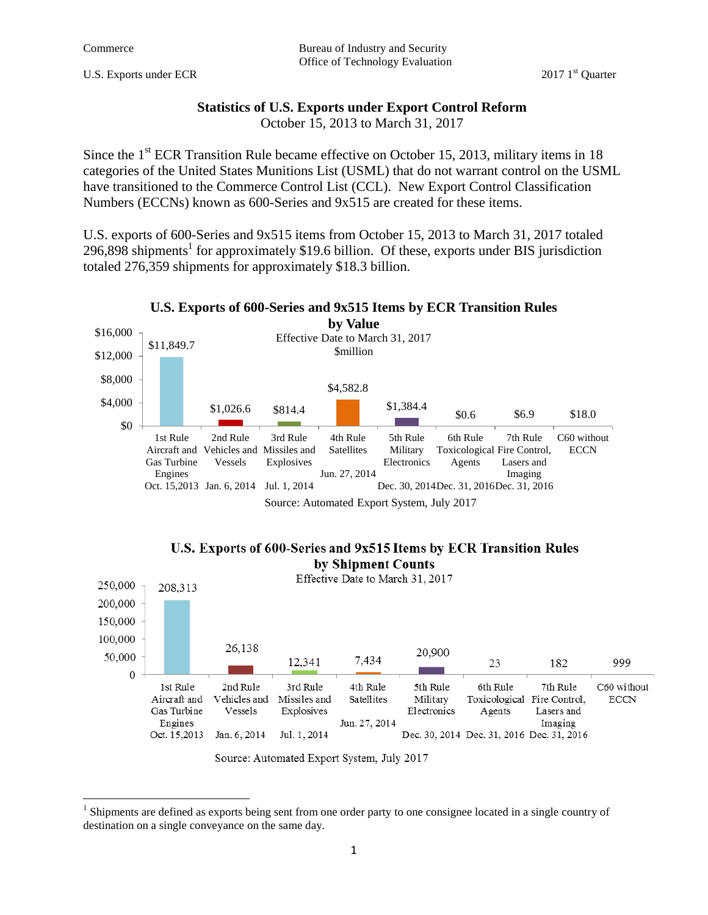$\overline{\phantom{a}}$ 

U.S. Exports under ECR 2017 1<sup>st</sup> Quarter

## **Statistics of U.S. Exports under Export Control Reform**

October 15, 2013 to March 31, 2017

Since the  $1<sup>st</sup>$  ECR Transition Rule became effective on October 15, 2013, military items in 18 categories of the United States Munitions List (USML) that do not warrant control on the USML have transitioned to the Commerce Control List (CCL). New Export Control Classification Numbers (ECCNs) known as 600-Series and 9x515 are created for these items.

U.S. exports of 600-Series and 9x515 items from October 15, 2013 to March 31, 2017 totaled 296,898 shipments<sup>1</sup> for approximately \$19.6 billion. Of these, exports under BIS jurisdiction totaled 276,359 shipments for approximately \$18.3 billion.







 $<sup>1</sup>$  Shipments are defined as exports being sent from one order party to one consignee located in a single country of</sup> destination on a single conveyance on the same day.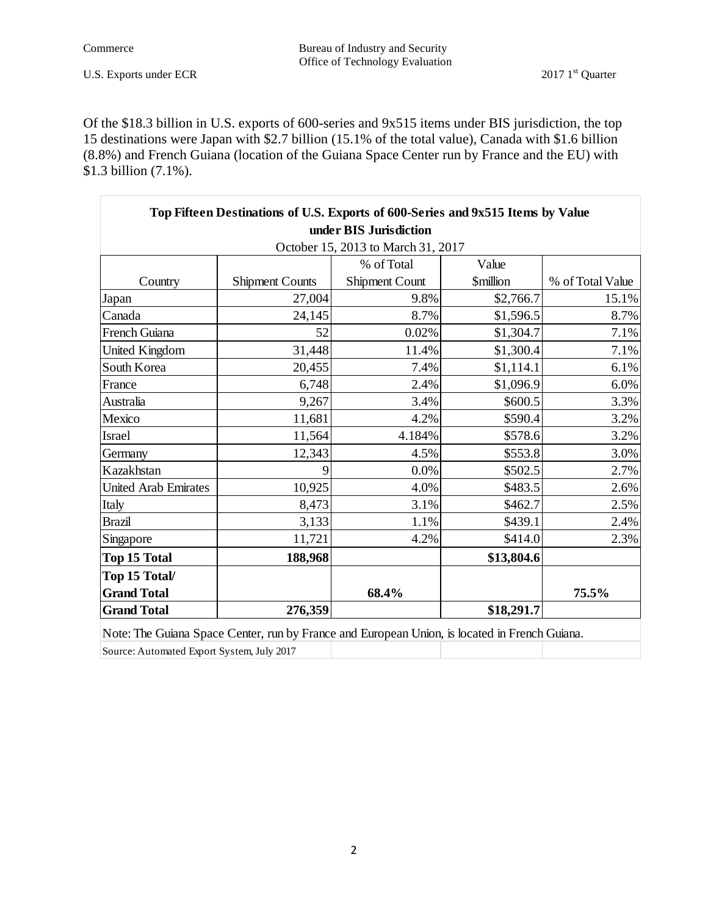Commerce Bureau of Industry and Security Office of Technology Evaluation

Of the \$18.3 billion in U.S. exports of 600-series and 9x515 items under BIS jurisdiction, the top 15 destinations were Japan with \$2.7 billion (15.1% of the total value), Canada with \$1.6 billion (8.8%) and French Guiana (location of the Guiana Space Center run by France and the EU) with \$1.3 billion (7.1%).

| Top Fifteen Destinations of U.S. Exports of 600-Series and 9x515 Items by Value               |                        |                                    |                        |                  |  |
|-----------------------------------------------------------------------------------------------|------------------------|------------------------------------|------------------------|------------------|--|
|                                                                                               |                        | under BIS Jurisdiction             |                        |                  |  |
|                                                                                               |                        | October 15, 2013 to March 31, 2017 |                        |                  |  |
|                                                                                               |                        | % of Total                         | Value                  |                  |  |
| Country                                                                                       | <b>Shipment Counts</b> | Shipment Count                     | <i><b>Smillion</b></i> | % of Total Value |  |
| Japan                                                                                         | 27,004                 | 9.8%                               | \$2,766.7              | 15.1%            |  |
| Canada                                                                                        | 24,145                 | 8.7%                               | \$1,596.5              | 8.7%             |  |
| French Guiana                                                                                 | 52                     | 0.02%                              | \$1,304.7              | 7.1%             |  |
| <b>United Kingdom</b>                                                                         | 31,448                 | 11.4%                              | \$1,300.4              | 7.1%             |  |
| South Korea                                                                                   | 20,455                 | 7.4%                               | \$1,114.1              | 6.1%             |  |
| France                                                                                        | 6,748                  | 2.4%                               | \$1,096.9              | 6.0%             |  |
| Australia                                                                                     | 9,267                  | 3.4%                               | \$600.5                | 3.3%             |  |
| Mexico                                                                                        | 11,681                 | 4.2%                               | \$590.4                | 3.2%             |  |
| Israel                                                                                        | 11,564                 | 4.184%                             | \$578.6                | 3.2%             |  |
| Germany                                                                                       | 12,343                 | 4.5%                               | \$553.8                | 3.0%             |  |
| Kazakhstan                                                                                    | 9                      | 0.0%                               | \$502.5                | 2.7%             |  |
| <b>United Arab Emirates</b>                                                                   | 10,925                 | 4.0%                               | \$483.5                | 2.6%             |  |
| Italy                                                                                         | 8,473                  | 3.1%                               | \$462.7                | 2.5%             |  |
| <b>Brazil</b>                                                                                 | 3,133                  | 1.1%                               | \$439.1                | 2.4%             |  |
| Singapore                                                                                     | 11,721                 | 4.2%                               | \$414.0                | 2.3%             |  |
| Top 15 Total                                                                                  | 188,968                |                                    | \$13,804.6             |                  |  |
| Top 15 Total/                                                                                 |                        |                                    |                        |                  |  |
| <b>Grand Total</b>                                                                            |                        | 68.4%                              |                        | 75.5%            |  |
| <b>Grand Total</b>                                                                            | 276,359                |                                    | \$18,291.7             |                  |  |
| Note: The Guiana Space Center, run by France and European Union, is located in French Guiana. |                        |                                    |                        |                  |  |

Source: Automated Export System, July 2017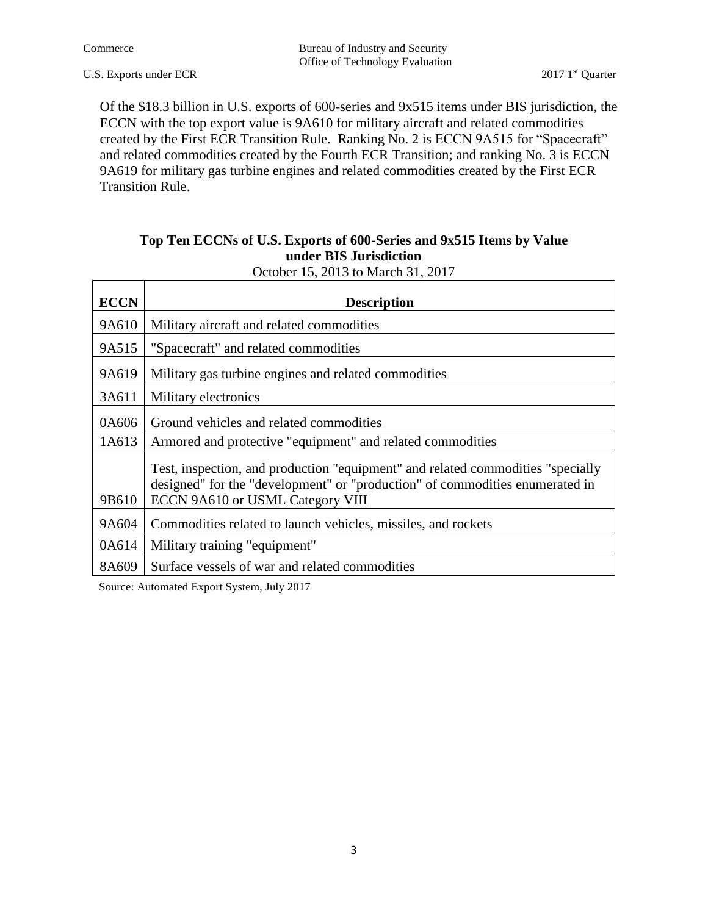$\Gamma$ 

 $\top$ 

٦

Of the \$18.3 billion in U.S. exports of 600-series and 9x515 items under BIS jurisdiction, the ECCN with the top export value is 9A610 for military aircraft and related commodities created by the First ECR Transition Rule. Ranking No. 2 is ECCN 9A515 for "Spacecraft" and related commodities created by the Fourth ECR Transition; and ranking No. 3 is ECCN 9A619 for military gas turbine engines and related commodities created by the First ECR Transition Rule.

## **Top Ten ECCNs of U.S. Exports of 600-Series and 9x515 Items by Value under BIS Jurisdiction**

| October 15, 2013 to March 31, 2017 |  |
|------------------------------------|--|
|                                    |  |

| <b>ECCN</b> | <b>Description</b>                                                                                                                                                                                  |  |  |
|-------------|-----------------------------------------------------------------------------------------------------------------------------------------------------------------------------------------------------|--|--|
| 9A610       | Military aircraft and related commodities                                                                                                                                                           |  |  |
| 9A515       | "Spacecraft" and related commodities                                                                                                                                                                |  |  |
| 9A619       | Military gas turbine engines and related commodities                                                                                                                                                |  |  |
| 3A611       | Military electronics                                                                                                                                                                                |  |  |
| 0A606       | Ground vehicles and related commodities                                                                                                                                                             |  |  |
| 1A613       | Armored and protective "equipment" and related commodities                                                                                                                                          |  |  |
| 9B610       | Test, inspection, and production "equipment" and related commodities "specially<br>designed" for the "development" or "production" of commodities enumerated in<br>ECCN 9A610 or USML Category VIII |  |  |
| 9A604       | Commodities related to launch vehicles, missiles, and rockets                                                                                                                                       |  |  |
| 0A614       | Military training "equipment"                                                                                                                                                                       |  |  |
| 8A609       | Surface vessels of war and related commodities                                                                                                                                                      |  |  |

Source: Automated Export System, July 2017